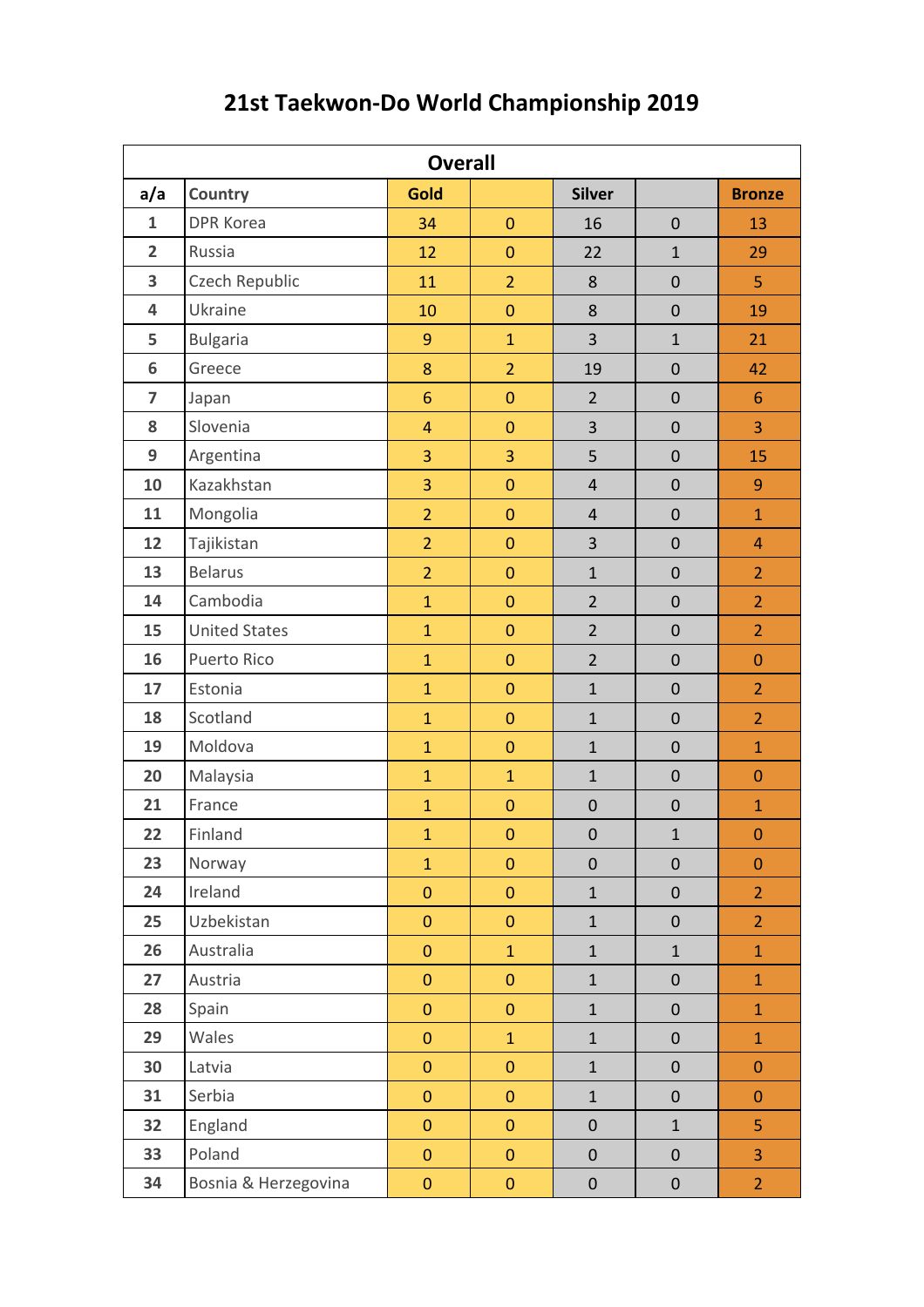| <b>Overall</b>   |                      |                  |                |                  |                  |                  |  |  |  |
|------------------|----------------------|------------------|----------------|------------------|------------------|------------------|--|--|--|
| a/a              | <b>Country</b>       | <b>Gold</b>      |                | <b>Silver</b>    |                  | <b>Bronze</b>    |  |  |  |
| $\mathbf{1}$     | <b>DPR Korea</b>     | 34               | $\mathbf{0}$   | 16               | $\mathbf 0$      | 13               |  |  |  |
| $\overline{2}$   | Russia               | 12               | $\pmb{0}$      | 22               | $\mathbf{1}$     | 29               |  |  |  |
| 3                | Czech Republic       | 11               | $\overline{2}$ | 8                | $\mathbf 0$      | 5                |  |  |  |
| 4                | Ukraine              | 10               | $\mathbf{0}$   | 8                | $\pmb{0}$        | 19               |  |  |  |
| 5                | <b>Bulgaria</b>      | 9                | $\mathbf{1}$   | 3                | $\mathbf{1}$     | 21               |  |  |  |
| $\boldsymbol{6}$ | Greece               | 8                | $\overline{2}$ | 19               | $\mathbf 0$      | 42               |  |  |  |
| $\overline{7}$   | Japan                | 6                | $\mathbf{0}$   | $\overline{2}$   | $\mathbf 0$      | 6                |  |  |  |
| 8                | Slovenia             | $\overline{4}$   | $\mathbf{0}$   | 3                | $\mathbf 0$      | 3                |  |  |  |
| 9                | Argentina            | 3                | 3              | 5                | $\mathbf 0$      | 15               |  |  |  |
| 10               | Kazakhstan           | 3                | $\mathbf 0$    | $\overline{4}$   | $\mathbf 0$      | $\boldsymbol{9}$ |  |  |  |
| 11               | Mongolia             | $\overline{2}$   | $\mathbf{0}$   | $\overline{4}$   | $\mathbf 0$      | $\mathbf{1}$     |  |  |  |
| 12               | Tajikistan           | $\overline{2}$   | $\mathbf{0}$   | 3                | $\mathbf 0$      | $\overline{4}$   |  |  |  |
| 13               | <b>Belarus</b>       | $\overline{2}$   | $\mathbf 0$    | $\mathbf{1}$     | $\mathbf 0$      | $\overline{2}$   |  |  |  |
| 14               | Cambodia             | $\mathbf{1}$     | $\mathbf 0$    | $\overline{2}$   | $\mathbf 0$      | $\overline{2}$   |  |  |  |
| 15               | <b>United States</b> | $\mathbf{1}$     | $\mathbf{0}$   | $\overline{2}$   | $\mathbf 0$      | $\overline{2}$   |  |  |  |
| 16               | Puerto Rico          | $\mathbf{1}$     | $\mathbf{0}$   | $\overline{2}$   | $\mathbf 0$      | $\mathbf{0}$     |  |  |  |
| 17               | Estonia              | $\mathbf{1}$     | $\mathbf 0$    | $\mathbf{1}$     | $\mathbf 0$      | $\overline{2}$   |  |  |  |
| 18               | Scotland             | $\mathbf{1}$     | $\pmb{0}$      | $\mathbf{1}$     | $\mathbf 0$      | $\overline{2}$   |  |  |  |
| 19               | Moldova              | $\mathbf{1}$     | $\mathbf{0}$   | $\mathbf{1}$     | $\mathbf 0$      | $\mathbf{1}$     |  |  |  |
| 20               | Malaysia             | $\mathbf{1}$     | $\mathbf{1}$   | $\mathbf{1}$     | $\pmb{0}$        | $\mathbf{0}$     |  |  |  |
| 21               | France               | $\mathbf{1}$     | $\bf 0$        | $\boldsymbol{0}$ | $\boldsymbol{0}$ | $\mathbf{1}$     |  |  |  |
| 22               | Finland              | $\mathbf{1}$     | $\pmb{0}$      | $\pmb{0}$        | $\mathbf{1}$     | $\pmb{0}$        |  |  |  |
| 23               | Norway               | $\mathbf{1}$     | $\mathbf{0}$   | $\boldsymbol{0}$ | $\pmb{0}$        | $\mathbf{0}$     |  |  |  |
| 24               | Ireland              | $\mathbf 0$      | $\pmb{0}$      | $\mathbf 1$      | $\pmb{0}$        | $\overline{2}$   |  |  |  |
| 25               | Uzbekistan           | $\mathbf 0$      | $\pmb{0}$      | $\mathbf{1}$     | $\pmb{0}$        | $\overline{2}$   |  |  |  |
| 26               | Australia            | $\mathbf 0$      | $\mathbf{1}$   | $\mathbf{1}$     | $\mathbf{1}$     | $\mathbf{1}$     |  |  |  |
| 27               | Austria              | $\mathbf 0$      | $\pmb{0}$      | $\mathbf{1}$     | $\mathbf 0$      | $\mathbf{1}$     |  |  |  |
| 28               | Spain                | $\pmb{0}$        | $\pmb{0}$      | $\mathbf{1}$     | $\pmb{0}$        | $\mathbf{1}$     |  |  |  |
| 29               | Wales                | $\overline{0}$   | $\mathbf{1}$   | $\mathbf{1}$     | $\mathbf 0$      | $\mathbf{1}$     |  |  |  |
| 30               | Latvia               | $\pmb{0}$        | $\pmb{0}$      | $\mathbf{1}$     | $\pmb{0}$        | $\boldsymbol{0}$ |  |  |  |
| 31               | Serbia               | $\mathbf 0$      | $\pmb{0}$      | $\mathbf{1}$     | $\mathbf 0$      | $\boldsymbol{0}$ |  |  |  |
| 32               | England              | $\pmb{0}$        | $\pmb{0}$      | $\pmb{0}$        | $\mathbf{1}$     | 5                |  |  |  |
| 33               | Poland               | $\mathbf 0$      | $\mathbf 0$    | $\boldsymbol{0}$ | $\pmb{0}$        | 3                |  |  |  |
| 34               | Bosnia & Herzegovina | $\boldsymbol{0}$ | $\pmb{0}$      | $\pmb{0}$        | $\pmb{0}$        | $\overline{2}$   |  |  |  |

## **21st Taekwon-Do World Championship 2019**